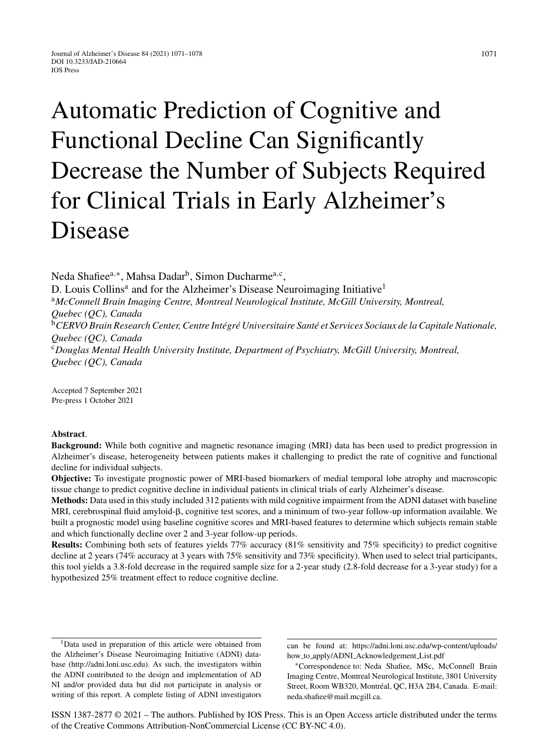# Automatic Prediction of Cognitive and Functional Decline Can Significantly Decrease the Number of Subjects Required for Clinical Trials in Early Alzheimer's Disease

Neda Shafiee<sup>a,∗</sup>, Mahsa Dadar<sup>b</sup>, Simon Ducharme<sup>a,c</sup>, D. Louis Collins<sup>a</sup> and for the Alzheimer's Disease Neuroimaging Initiative<sup>1</sup> <sup>a</sup>*McConnell Brain Imaging Centre, Montreal Neurological Institute, McGill University, Montreal, Quebec (QC), Canada* <sup>b</sup> CERVO Brain Research Center, Centre Intégré Universitaire Santé et Services Sociaux de la Capitale Nationale, *Quebec (QC), Canada* <sup>c</sup>*Douglas Mental Health University Institute, Department of Psychiatry, McGill University, Montreal, Quebec (QC), Canada*

Accepted 7 September 2021 Pre-press 1 October 2021

## **Abstract**.

**Background:** While both cognitive and magnetic resonance imaging (MRI) data has been used to predict progression in Alzheimer's disease, heterogeneity between patients makes it challenging to predict the rate of cognitive and functional decline for individual subjects.

**Objective:** To investigate prognostic power of MRI-based biomarkers of medial temporal lobe atrophy and macroscopic tissue change to predict cognitive decline in individual patients in clinical trials of early Alzheimer's disease.

**Methods:** Data used in this study included 312 patients with mild cognitive impairment from the ADNI dataset with baseline MRI, cerebrospinal fluid amyloid- $\beta$ , cognitive test scores, and a minimum of two-year follow-up information available. We built a prognostic model using baseline cognitive scores and MRI-based features to determine which subjects remain stable and which functionally decline over 2 and 3-year follow-up periods.

**Results:** Combining both sets of features yields 77% accuracy (81% sensitivity and 75% specificity) to predict cognitive decline at 2 years (74% accuracy at 3 years with 75% sensitivity and 73% specificity). When used to select trial participants, this tool yields a 3.8-fold decrease in the required sample size for a 2-year study (2.8-fold decrease for a 3-year study) for a hypothesized 25% treatment effect to reduce cognitive decline.

ISSN 1387-2877 © 2021 – The authors. Published by IOS Press. This is an Open Access article distributed under the terms of the [Creative Commons Attribution-NonCommercial License \(CC BY-NC 4.0\).](https://creativecommons.org/licenses/by-nc/4.0/)

<sup>&</sup>lt;sup>1</sup>Data used in preparation of this article were obtained from the Alzheimer's Disease Neuroimaging Initiative (ADNI) database (<http://adni.loni.usc.edu>). As such, the investigators within the ADNI contributed to the design and implementation of AD NI and/or provided data but did not participate in analysis or writing of this report. A complete listing of ADNI investigators

can be found at: [https://adni.loni.usc.edu/wp-content/uploads/](https://adni.loni.usc.edu/wp-content/uploads/how_to_apply/ADNI_Acknowledgement_List.pdf) how to apply/ADNI Acknowledgement List.pdf

<sup>∗</sup>Correspondence to: Neda Shafiee, MSc, McConnell Brain Imaging Centre, Montreal Neurological Institute, 3801 University Street, Room WB320, Montréal, QC, H3A 2B4, Canada. E-mail: [neda.shafiee@mail.mcgill.ca.](mailto:neda.shafiee@mail.mcgill.ca)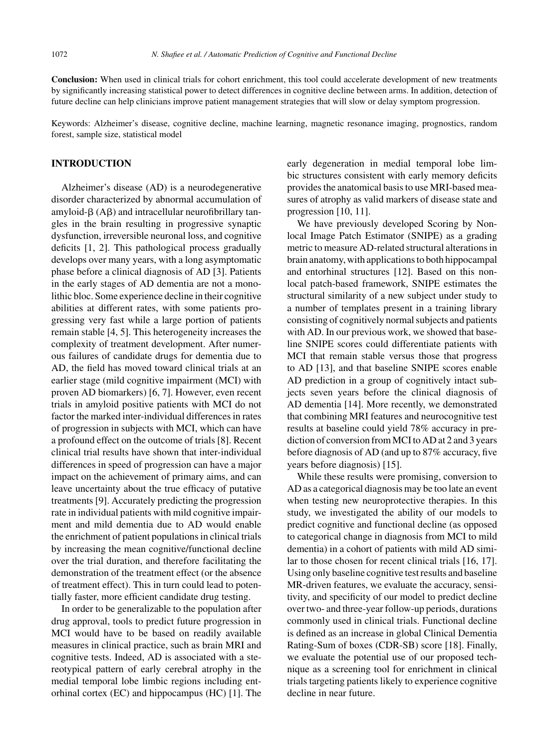**Conclusion:** When used in clinical trials for cohort enrichment, this tool could accelerate development of new treatments by significantly increasing statistical power to detect differences in cognitive decline between arms. In addition, detection of future decline can help clinicians improve patient management strategies that will slow or delay symptom progression.

Keywords: Alzheimer's disease, cognitive decline, machine learning, magnetic resonance imaging, prognostics, random forest, sample size, statistical model

# **INTRODUCTION**

Alzheimer's disease (AD) is a neurodegenerative disorder characterized by abnormal accumulation of amyloid- $\beta$  (A $\beta$ ) and intracellular neurofibrillary tangles in the brain resulting in progressive synaptic dysfunction, irreversible neuronal loss, and cognitive deficits [1, 2]. This pathological process gradually develops over many years, with a long asymptomatic phase before a clinical diagnosis of AD [3]. Patients in the early stages of AD dementia are not a monolithic bloc. Some experience decline in their cognitive abilities at different rates, with some patients progressing very fast while a large portion of patients remain stable [4, 5]. This heterogeneity increases the complexity of treatment development. After numerous failures of candidate drugs for dementia due to AD, the field has moved toward clinical trials at an earlier stage (mild cognitive impairment (MCI) with proven AD biomarkers) [6, 7]. However, even recent trials in amyloid positive patients with MCI do not factor the marked inter-individual differences in rates of progression in subjects with MCI, which can have a profound effect on the outcome of trials [8]. Recent clinical trial results have shown that inter-individual differences in speed of progression can have a major impact on the achievement of primary aims, and can leave uncertainty about the true efficacy of putative treatments [9]. Accurately predicting the progression rate in individual patients with mild cognitive impairment and mild dementia due to AD would enable the enrichment of patient populations in clinical trials by increasing the mean cognitive/functional decline over the trial duration, and therefore facilitating the demonstration of the treatment effect (or the absence of treatment effect). This in turn could lead to potentially faster, more efficient candidate drug testing.

In order to be generalizable to the population after drug approval, tools to predict future progression in MCI would have to be based on readily available measures in clinical practice, such as brain MRI and cognitive tests. Indeed, AD is associated with a stereotypical pattern of early cerebral atrophy in the medial temporal lobe limbic regions including entorhinal cortex (EC) and hippocampus (HC) [1]. The

early degeneration in medial temporal lobe limbic structures consistent with early memory deficits provides the anatomical basis to use MRI-based measures of atrophy as valid markers of disease state and progression [10, 11].

We have previously developed Scoring by Nonlocal Image Patch Estimator (SNIPE) as a grading metric to measure AD-related structural alterations in brain anatomy, with applications to both hippocampal and entorhinal structures [12]. Based on this nonlocal patch-based framework, SNIPE estimates the structural similarity of a new subject under study to a number of templates present in a training library consisting of cognitively normal subjects and patients with AD. In our previous work, we showed that baseline SNIPE scores could differentiate patients with MCI that remain stable versus those that progress to AD [13], and that baseline SNIPE scores enable AD prediction in a group of cognitively intact subjects seven years before the clinical diagnosis of AD dementia [14]. More recently, we demonstrated that combining MRI features and neurocognitive test results at baseline could yield 78% accuracy in prediction of conversion from MCI to AD at 2 and 3 years before diagnosis of AD (and up to 87% accuracy, five years before diagnosis) [15].

While these results were promising, conversion to AD as a categorical diagnosis may be too late an event when testing new neuroprotective therapies. In this study, we investigated the ability of our models to predict cognitive and functional decline (as opposed to categorical change in diagnosis from MCI to mild dementia) in a cohort of patients with mild AD similar to those chosen for recent clinical trials [16, 17]. Using only baseline cognitive test results and baseline MR-driven features, we evaluate the accuracy, sensitivity, and specificity of our model to predict decline over two- and three-year follow-up periods, durations commonly used in clinical trials. Functional decline is defined as an increase in global Clinical Dementia Rating-Sum of boxes (CDR-SB) score [18]. Finally, we evaluate the potential use of our proposed technique as a screening tool for enrichment in clinical trials targeting patients likely to experience cognitive decline in near future.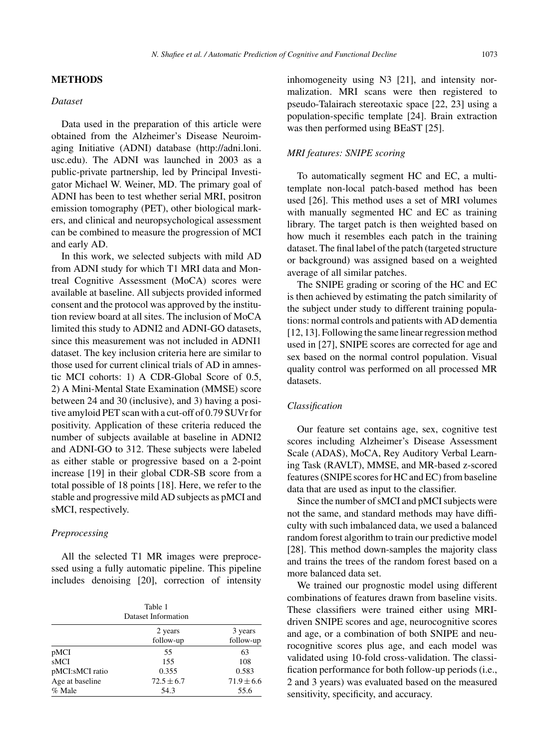#### **METHODS**

#### *Dataset*

Data used in the preparation of this article were obtained from the Alzheimer's Disease Neuroimaging Initiative (ADNI) database ([http://adni.loni.](http://adni.loni.usc.edu) usc.edu). The ADNI was launched in 2003 as a public-private partnership, led by Principal Investigator Michael W. Weiner, MD. The primary goal of ADNI has been to test whether serial MRI, positron emission tomography (PET), other biological markers, and clinical and neuropsychological assessment can be combined to measure the progression of MCI and early AD.

In this work, we selected subjects with mild AD from ADNI study for which T1 MRI data and Montreal Cognitive Assessment (MoCA) scores were available at baseline. All subjects provided informed consent and the protocol was approved by the institution review board at all sites. The inclusion of MoCA limited this study to ADNI2 and ADNI-GO datasets, since this measurement was not included in ADNI1 dataset. The key inclusion criteria here are similar to those used for current clinical trials of AD in amnestic MCI cohorts: 1) A CDR-Global Score of 0.5, 2) A Mini-Mental State Examination (MMSE) score between 24 and 30 (inclusive), and 3) having a positive amyloid PET scan with a cut-off of 0.79 SUVr for positivity. Application of these criteria reduced the number of subjects available at baseline in ADNI2 and ADNI-GO to 312. These subjects were labeled as either stable or progressive based on a 2-point increase [19] in their global CDR-SB score from a total possible of 18 points [18]. Here, we refer to the stable and progressive mild AD subjects as pMCI and sMCI, respectively.

## *Preprocessing*

All the selected T1 MR images were preprocessed using a fully automatic pipeline. This pipeline includes denoising [20], correction of intensity

| Table 1<br>Dataset Information |                |                |  |  |  |
|--------------------------------|----------------|----------------|--|--|--|
|                                | 2 years        | 3 years        |  |  |  |
|                                | follow-up      | follow-up      |  |  |  |
| pMCI                           | 55             | 63             |  |  |  |
| sMCI                           | 155            | 108            |  |  |  |
| pMCI:sMCI ratio                | 0.355          | 0.583          |  |  |  |
| Age at baseline                | $72.5 \pm 6.7$ | $71.9 \pm 6.6$ |  |  |  |
| % Male                         | 54.3           | 55.6           |  |  |  |

inhomogeneity using N3 [21], and intensity normalization. MRI scans were then registered to pseudo-Talairach stereotaxic space [22, 23] using a population-specific template [24]. Brain extraction was then performed using BEaST [25].

## *MRI features: SNIPE scoring*

To automatically segment HC and EC, a multitemplate non-local patch-based method has been used [26]. This method uses a set of MRI volumes with manually segmented HC and EC as training library. The target patch is then weighted based on how much it resembles each patch in the training dataset. The final label of the patch (targeted structure or background) was assigned based on a weighted average of all similar patches.

The SNIPE grading or scoring of the HC and EC is then achieved by estimating the patch similarity of the subject under study to different training populations: normal controls and patients with AD dementia [12, 13]. Following the same linear regression method used in [27], SNIPE scores are corrected for age and sex based on the normal control population. Visual quality control was performed on all processed MR datasets.

## *Classification*

Our feature set contains age, sex, cognitive test scores including Alzheimer's Disease Assessment Scale (ADAS), MoCA, Rey Auditory Verbal Learning Task (RAVLT), MMSE, and MR-based z-scored features (SNIPE scores for HC and EC) from baseline data that are used as input to the classifier.

Since the number of sMCI and pMCI subjects were not the same, and standard methods may have difficulty with such imbalanced data, we used a balanced random forest algorithm to train our predictive model [28]. This method down-samples the majority class and trains the trees of the random forest based on a more balanced data set.

We trained our prognostic model using different combinations of features drawn from baseline visits. These classifiers were trained either using MRIdriven SNIPE scores and age, neurocognitive scores and age, or a combination of both SNIPE and neurocognitive scores plus age, and each model was validated using 10-fold cross-validation. The classification performance for both follow-up periods (i.e., 2 and 3 years) was evaluated based on the measured sensitivity, specificity, and accuracy.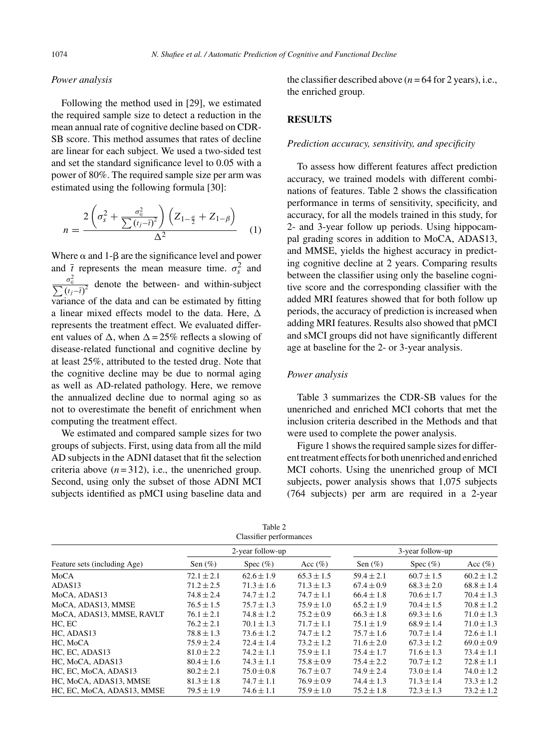## *Power analysis*

Following the method used in [29], we estimated the required sample size to detect a reduction in the mean annual rate of cognitive decline based on CDR-SB score. This method assumes that rates of decline are linear for each subject. We used a two-sided test and set the standard significance level to 0.05 with a power of 80%. The required sample size per arm was estimated using the following formula [30]:

$$
n = \frac{2\left(\sigma_s^2 + \frac{\sigma_\epsilon^2}{\sum (t_j - \overline{t})^2}\right)\left(Z_{1-\frac{a}{2}} + Z_{1-\beta}\right)}{\Delta^2} \tag{1}
$$

Where  $\alpha$  and 1- $\beta$  are the significance level and power and  $\bar{t}$  represents the mean measure time.  $\sigma_s^2$  and  $\frac{\sigma_{\epsilon}^2}{\sum (t_j - \bar{t})^2}$  denote the between- and within-subject variance of the data and can be estimated by fitting a linear mixed effects model to the data. Here,  $\Delta$ represents the treatment effect. We evaluated different values of  $\Delta$ , when  $\Delta = 25\%$  reflects a slowing of disease-related functional and cognitive decline by at least 25%, attributed to the tested drug. Note that the cognitive decline may be due to normal aging as well as AD-related pathology. Here, we remove the annualized decline due to normal aging so as not to overestimate the benefit of enrichment when computing the treatment effect.

We estimated and compared sample sizes for two groups of subjects. First, using data from all the mild AD subjects in the ADNI dataset that fit the selection criteria above  $(n=312)$ , i.e., the unenriched group. Second, using only the subset of those ADNI MCI subjects identified as pMCI using baseline data and the classifier described above  $(n = 64$  for 2 years), i.e., the enriched group.

## **RESULTS**

#### *Prediction accuracy, sensitivity, and specificity*

To assess how different features affect prediction accuracy, we trained models with different combinations of features. Table 2 shows the classification performance in terms of sensitivity, specificity, and accuracy, for all the models trained in this study, for 2- and 3-year follow up periods. Using hippocampal grading scores in addition to MoCA, ADAS13, and MMSE, yields the highest accuracy in predicting cognitive decline at 2 years. Comparing results between the classifier using only the baseline cognitive score and the corresponding classifier with the added MRI features showed that for both follow up periods, the accuracy of prediction is increased when adding MRI features. Results also showed that pMCI and sMCI groups did not have significantly different age at baseline for the 2- or 3-year analysis.

## *Power analysis*

Table 3 summarizes the CDR-SB values for the unenriched and enriched MCI cohorts that met the inclusion criteria described in the Methods and that were used to complete the power analysis.

Figure 1 shows the required sample sizes for different treatment effects for both unenriched and enriched MCI cohorts. Using the unenriched group of MCI subjects, power analysis shows that 1,075 subjects (764 subjects) per arm are required in a 2-year

| Table 2                 |  |  |  |  |  |
|-------------------------|--|--|--|--|--|
| Classifier performances |  |  |  |  |  |

| Feature sets (including Age) | 2-year follow-up |                |                | 3-year follow-up |                |                |
|------------------------------|------------------|----------------|----------------|------------------|----------------|----------------|
|                              | Sen $(\%)$       | Spec $(\%)$    | Acc $(\% )$    | Sen $(\%)$       | Spec $(\%)$    | Acc $(\%)$     |
| MoCA                         | $72.1 \pm 2.1$   | $62.6 \pm 1.9$ | $65.3 \pm 1.5$ | $59.4 \pm 2.1$   | $60.7 \pm 1.5$ | $60.2 \pm 1.2$ |
| ADAS13                       | $71.2 \pm 2.5$   | $71.3 + 1.6$   | $71.3 \pm 1.3$ | $67.4 \pm 0.9$   | $68.3 \pm 2.0$ | $68.8 \pm 1.4$ |
| MoCA, ADAS13                 | $74.8 \pm 2.4$   | $74.7 \pm 1.2$ | $74.7 \pm 1.1$ | $66.4 \pm 1.8$   | $70.6 \pm 1.7$ | $70.4 \pm 1.3$ |
| MoCA, ADAS13, MMSE           | $76.5 \pm 1.5$   | $75.7 \pm 1.3$ | $75.9 \pm 1.0$ | $65.2 \pm 1.9$   | $70.4 \pm 1.5$ | $70.8 \pm 1.2$ |
| MoCA, ADAS13, MMSE, RAVLT    | $76.1 \pm 2.1$   | $74.8 \pm 1.2$ | $75.2 \pm 0.9$ | $66.3 \pm 1.8$   | $69.3 \pm 1.6$ | $71.0 \pm 1.3$ |
| HC, EC                       | $76.2 \pm 2.1$   | $70.1 \pm 1.3$ | $71.7 \pm 1.1$ | $75.1 \pm 1.9$   | $68.9 \pm 1.4$ | $71.0 \pm 1.3$ |
| HC, ADAS13                   | $78.8 \pm 1.3$   | $73.6 \pm 1.2$ | $74.7 \pm 1.2$ | $75.7 \pm 1.6$   | $70.7 \pm 1.4$ | $72.6 \pm 1.1$ |
| HC, MoCA                     | $75.9 + 2.4$     | $72.4 \pm 1.4$ | $73.2 + 1.2$   | $71.6 \pm 2.0$   | $67.3 \pm 1.2$ | $69.0 \pm 0.9$ |
| HC. EC. ADAS13               | $81.0 \pm 2.2$   | $74.2 \pm 1.1$ | $75.9 \pm 1.1$ | $75.4 \pm 1.7$   | $71.6 \pm 1.3$ | $73.4 \pm 1.1$ |
| HC, MoCA, ADAS13             | $80.4 \pm 1.6$   | $74.3 \pm 1.1$ | $75.8 \pm 0.9$ | $75.4 \pm 2.2$   | $70.7 \pm 1.2$ | $72.8 \pm 1.1$ |
| HC, EC, MoCA, ADAS13         | $80.2 \pm 2.1$   | $75.0 \pm 0.8$ | $76.7 \pm 0.7$ | $74.9 \pm 2.4$   | $73.0 \pm 1.4$ | $74.0 \pm 1.2$ |
| HC, MoCA, ADAS13, MMSE       | $81.3 \pm 1.8$   | $74.7 \pm 1.1$ | $76.9 \pm 0.9$ | $74.4 \pm 1.3$   | $71.3 \pm 1.4$ | $73.3 \pm 1.2$ |
| HC, EC, MoCA, ADAS13, MMSE   | $79.5 \pm 1.9$   | $74.6 \pm 1.1$ | $75.9 \pm 1.0$ | $75.2 \pm 1.8$   | $72.3 \pm 1.3$ | $73.2 \pm 1.2$ |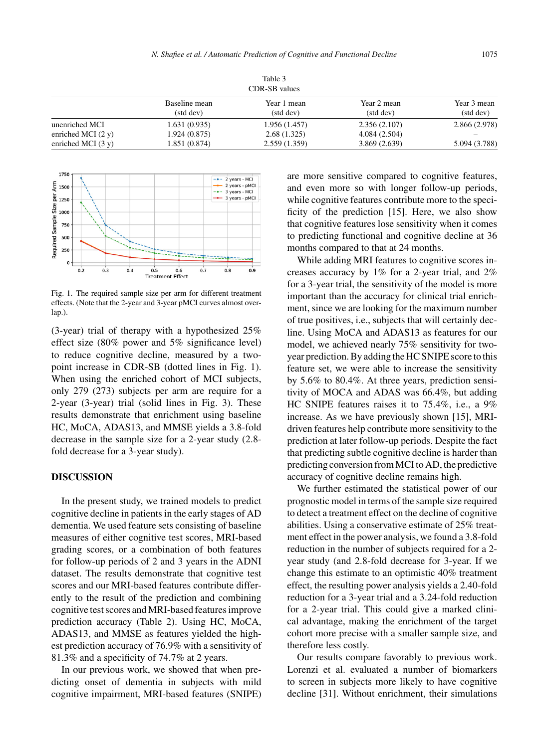| Table 3<br>CDR-SB values |               |               |               |               |  |  |
|--------------------------|---------------|---------------|---------------|---------------|--|--|
|                          | Baseline mean | Year 1 mean   | Year 2 mean   | Year 3 mean   |  |  |
|                          | (std dev)     | (std dev)     | (std dev)     | (std dev)     |  |  |
| unenriched MCI           | 1.631(0.935)  | 1.956 (1.457) | 2.356(2.107)  | 2.866 (2.978) |  |  |
| enriched MCI $(2 y)$     | 1.924 (0.875) | 2.68(1.325)   | 4.084 (2.504) | 5.094 (3.788) |  |  |
| enriched MCI $(3 y)$     | 1.851 (0.874) | 2.559(1.359)  | 3.869(2.639)  |               |  |  |



Fig. 1. The required sample size per arm for different treatment effects. (Note that the 2-year and 3-year pMCI curves almost overlap.).

(3-year) trial of therapy with a hypothesized 25% effect size (80% power and 5% significance level) to reduce cognitive decline, measured by a twopoint increase in CDR-SB (dotted lines in Fig. 1). When using the enriched cohort of MCI subjects, only 279 (273) subjects per arm are require for a 2-year (3-year) trial (solid lines in Fig. 3). These results demonstrate that enrichment using baseline HC, MoCA, ADAS13, and MMSE yields a 3.8-fold decrease in the sample size for a 2-year study (2.8 fold decrease for a 3-year study).

## **DISCUSSION**

In the present study, we trained models to predict cognitive decline in patients in the early stages of AD dementia. We used feature sets consisting of baseline measures of either cognitive test scores, MRI-based grading scores, or a combination of both features for follow-up periods of 2 and 3 years in the ADNI dataset. The results demonstrate that cognitive test scores and our MRI-based features contribute differently to the result of the prediction and combining cognitive test scores and MRI-based features improve prediction accuracy (Table 2). Using HC, MoCA, ADAS13, and MMSE as features yielded the highest prediction accuracy of 76.9% with a sensitivity of 81.3% and a specificity of 74.7% at 2 years.

In our previous work, we showed that when predicting onset of dementia in subjects with mild cognitive impairment, MRI-based features (SNIPE) are more sensitive compared to cognitive features, and even more so with longer follow-up periods, while cognitive features contribute more to the specificity of the prediction [15]. Here, we also show that cognitive features lose sensitivity when it comes to predicting functional and cognitive decline at 36 months compared to that at 24 months.

While adding MRI features to cognitive scores increases accuracy by 1% for a 2-year trial, and 2% for a 3-year trial, the sensitivity of the model is more important than the accuracy for clinical trial enrichment, since we are looking for the maximum number of true positives, i.e., subjects that will certainly decline. Using MoCA and ADAS13 as features for our model, we achieved nearly 75% sensitivity for twoyear prediction. By adding the HC SNIPE score to this feature set, we were able to increase the sensitivity by 5.6% to 80.4%. At three years, prediction sensitivity of MOCA and ADAS was 66.4%, but adding HC SNIPE features raises it to 75.4%, i.e., a 9% increase. As we have previously shown [15], MRIdriven features help contribute more sensitivity to the prediction at later follow-up periods. Despite the fact that predicting subtle cognitive decline is harder than predicting conversion from MCI to AD, the predictive accuracy of cognitive decline remains high.

We further estimated the statistical power of our prognostic model in terms of the sample size required to detect a treatment effect on the decline of cognitive abilities. Using a conservative estimate of 25% treatment effect in the power analysis, we found a 3.8-fold reduction in the number of subjects required for a 2 year study (and 2.8-fold decrease for 3-year. If we change this estimate to an optimistic 40% treatment effect, the resulting power analysis yields a 2.40-fold reduction for a 3-year trial and a 3.24-fold reduction for a 2-year trial. This could give a marked clinical advantage, making the enrichment of the target cohort more precise with a smaller sample size, and therefore less costly.

Our results compare favorably to previous work. Lorenzi et al. evaluated a number of biomarkers to screen in subjects more likely to have cognitive decline [31]. Without enrichment, their simulations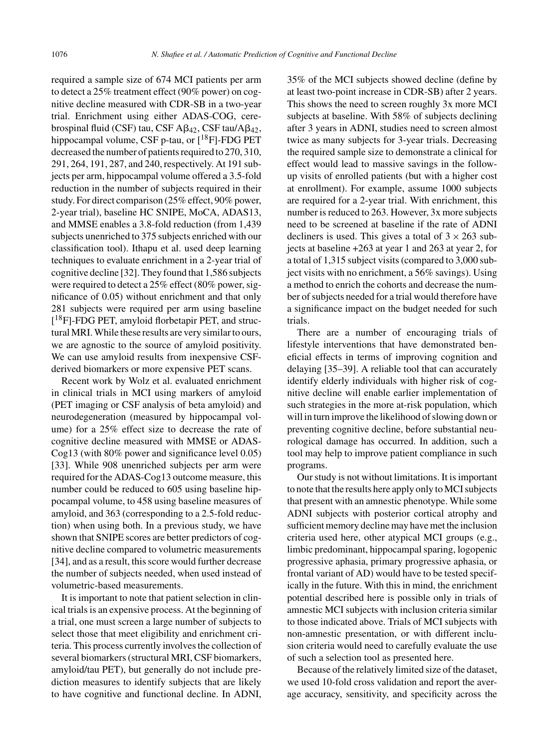required a sample size of 674 MCI patients per arm to detect a 25% treatment effect (90% power) on cognitive decline measured with CDR-SB in a two-year trial. Enrichment using either ADAS-COG, cerebrospinal fluid (CSF) tau, CSF  $A\beta_{42}$ , CSF tau/ $A\beta_{42}$ , hippocampal volume, CSF p-tau, or [<sup>18</sup>F]-FDG PET decreased the number of patients required to 270, 310, 291, 264, 191, 287, and 240, respectively. At 191 subjects per arm, hippocampal volume offered a 3.5-fold reduction in the number of subjects required in their study. For direct comparison (25% effect, 90% power, 2-year trial), baseline HC SNIPE, MoCA, ADAS13, and MMSE enables a 3.8-fold reduction (from 1,439 subjects unenriched to 375 subjects enriched with our classification tool). Ithapu et al. used deep learning techniques to evaluate enrichment in a 2-year trial of cognitive decline [32]. They found that 1,586 subjects were required to detect a 25% effect (80% power, significance of 0.05) without enrichment and that only 281 subjects were required per arm using baseline [<sup>18</sup>F]-FDG PET, amyloid florbetapir PET, and structural MRI. While these results are very similar to ours, we are agnostic to the source of amyloid positivity. We can use amyloid results from inexpensive CSFderived biomarkers or more expensive PET scans.

Recent work by Wolz et al. evaluated enrichment in clinical trials in MCI using markers of amyloid (PET imaging or CSF analysis of beta amyloid) and neurodegeneration (measured by hippocampal volume) for a 25% effect size to decrease the rate of cognitive decline measured with MMSE or ADAS-Cog13 (with 80% power and significance level 0.05) [33]. While 908 unenriched subjects per arm were required for the ADAS-Cog13 outcome measure, this number could be reduced to 605 using baseline hippocampal volume, to 458 using baseline measures of amyloid, and 363 (corresponding to a 2.5-fold reduction) when using both. In a previous study, we have shown that SNIPE scores are better predictors of cognitive decline compared to volumetric measurements [34], and as a result, this score would further decrease the number of subjects needed, when used instead of volumetric-based measurements.

It is important to note that patient selection in clinical trials is an expensive process. At the beginning of a trial, one must screen a large number of subjects to select those that meet eligibility and enrichment criteria. This process currently involves the collection of several biomarkers (structural MRI, CSF biomarkers, amyloid/tau PET), but generally do not include prediction measures to identify subjects that are likely to have cognitive and functional decline. In ADNI,

35% of the MCI subjects showed decline (define by at least two-point increase in CDR-SB) after 2 years. This shows the need to screen roughly 3x more MCI subjects at baseline. With 58% of subjects declining after 3 years in ADNI, studies need to screen almost twice as many subjects for 3-year trials. Decreasing the required sample size to demonstrate a clinical for effect would lead to massive savings in the followup visits of enrolled patients (but with a higher cost at enrollment). For example, assume 1000 subjects are required for a 2-year trial. With enrichment, this number is reduced to 263. However, 3x more subjects need to be screened at baseline if the rate of ADNI decliners is used. This gives a total of  $3 \times 263$  subjects at baseline +263 at year 1 and 263 at year 2, for a total of 1,315 subject visits (compared to 3,000 subject visits with no enrichment, a 56% savings). Using a method to enrich the cohorts and decrease the number of subjects needed for a trial would therefore have a significance impact on the budget needed for such trials.

There are a number of encouraging trials of lifestyle interventions that have demonstrated beneficial effects in terms of improving cognition and delaying [35–39]. A reliable tool that can accurately identify elderly individuals with higher risk of cognitive decline will enable earlier implementation of such strategies in the more at-risk population, which will in turn improve the likelihood of slowing down or preventing cognitive decline, before substantial neurological damage has occurred. In addition, such a tool may help to improve patient compliance in such programs.

Our study is not without limitations. It is important to note that the results here apply only to MCI subjects that present with an amnestic phenotype. While some ADNI subjects with posterior cortical atrophy and sufficient memory decline may have met the inclusion criteria used here, other atypical MCI groups (e.g., limbic predominant, hippocampal sparing, logopenic progressive aphasia, primary progressive aphasia, or frontal variant of AD) would have to be tested specifically in the future. With this in mind, the enrichment potential described here is possible only in trials of amnestic MCI subjects with inclusion criteria similar to those indicated above. Trials of MCI subjects with non-amnestic presentation, or with different inclusion criteria would need to carefully evaluate the use of such a selection tool as presented here.

Because of the relatively limited size of the dataset, we used 10-fold cross validation and report the average accuracy, sensitivity, and specificity across the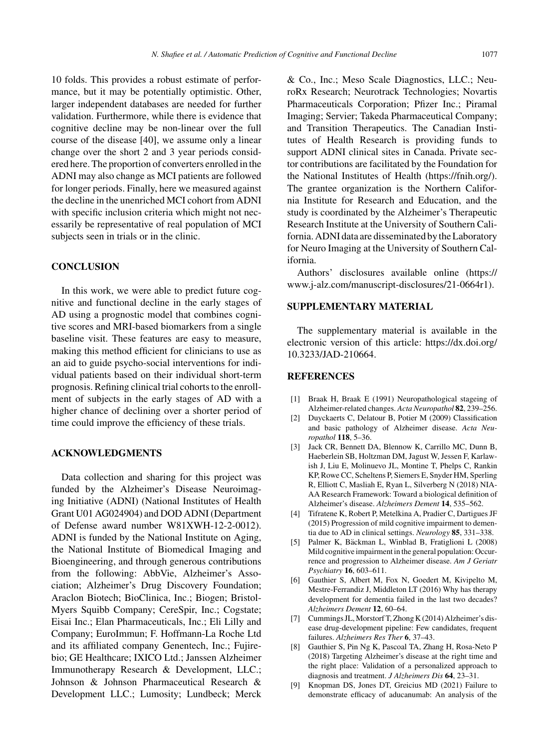10 folds. This provides a robust estimate of performance, but it may be potentially optimistic. Other, larger independent databases are needed for further validation. Furthermore, while there is evidence that cognitive decline may be non-linear over the full course of the disease [40], we assume only a linear change over the short 2 and 3 year periods considered here. The proportion of converters enrolled in the ADNI may also change as MCI patients are followed for longer periods. Finally, here we measured against the decline in the unenriched MCI cohort from ADNI with specific inclusion criteria which might not necessarily be representative of real population of MCI subjects seen in trials or in the clinic.

## **CONCLUSION**

In this work, we were able to predict future cognitive and functional decline in the early stages of AD using a prognostic model that combines cognitive scores and MRI-based biomarkers from a single baseline visit. These features are easy to measure, making this method efficient for clinicians to use as an aid to guide psycho-social interventions for individual patients based on their individual short-term prognosis. Refining clinical trial cohorts to the enrollment of subjects in the early stages of AD with a higher chance of declining over a shorter period of time could improve the efficiency of these trials.

## **ACKNOWLEDGMENTS**

Data collection and sharing for this project was funded by the Alzheimer's Disease Neuroimaging Initiative (ADNI) (National Institutes of Health Grant U01 AG024904) and DOD ADNI (Department of Defense award number W81XWH-12-2-0012). ADNI is funded by the National Institute on Aging, the National Institute of Biomedical Imaging and Bioengineering, and through generous contributions from the following: AbbVie, Alzheimer's Association; Alzheimer's Drug Discovery Foundation; Araclon Biotech; BioClinica, Inc.; Biogen; Bristol-Myers Squibb Company; CereSpir, Inc.; Cogstate; Eisai Inc.; Elan Pharmaceuticals, Inc.; Eli Lilly and Company; EuroImmun; F. Hoffmann-La Roche Ltd and its affiliated company Genentech, Inc.; Fujirebio; GE Healthcare; IXICO Ltd.; Janssen Alzheimer Immunotherapy Research & Development, LLC.; Johnson & Johnson Pharmaceutical Research & Development LLC.; Lumosity; Lundbeck; Merck & Co., Inc.; Meso Scale Diagnostics, LLC.; NeuroRx Research; Neurotrack Technologies; Novartis Pharmaceuticals Corporation; Pfizer Inc.; Piramal Imaging; Servier; Takeda Pharmaceutical Company; and Transition Therapeutics. The Canadian Institutes of Health Research is providing funds to support ADNI clinical sites in Canada. Private sector contributions are facilitated by the Foundation for the National Institutes of Health (https://fnih.org/). The grantee organization is the Northern California Institute for Research and Education, and the study is coordinated by the Alzheimer's Therapeutic Research Institute at the University of Southern California. ADNI data are disseminated by the Laboratory for Neuro Imaging at the University of Southern California.

Authors' disclosures available online (https:// www.j-alz.com/manuscript-disclosures/21-0664r1).

## **SUPPLEMENTARY MATERIAL**

The supplementary material is available in the electronic version of this article: [https://dx.doi.org/](https://dx.doi.org/10.3233/JAD-210664) 10.3233/JAD-210664.

## **REFERENCES**

- [1] Braak H, Braak E (1991) Neuropathological stageing of Alzheimer-related changes. *Acta Neuropathol* **82**, 239–256.
- [2] Duyckaerts C, Delatour B, Potier M (2009) Classification and basic pathology of Alzheimer disease. *Acta Neuropathol* **118**, 5–36.
- [3] Jack CR, Bennett DA, Blennow K, Carrillo MC, Dunn B, Haeberlein SB, Holtzman DM, Jagust W, Jessen F, Karlawish J, Liu E, Molinuevo JL, Montine T, Phelps C, Rankin KP, Rowe CC, Scheltens P, Siemers E, Snyder HM, Sperling R, Elliott C, Masliah E, Ryan L, Silverberg N (2018) NIA-AA Research Framework: Toward a biological definition of Alzheimer's disease. *Alzheimers Dement* **14**, 535–562.
- [4] Tifratene K, Robert P, Metelkina A, Pradier C, Dartigues JF (2015) Progression of mild cognitive impairment to dementia due to AD in clinical settings. *Neurology* **85**, 331–338.
- [5] Palmer K, Bäckman L, Winblad B, Fratiglioni L (2008) Mild cognitive impairment in the general population: Occurrence and progression to Alzheimer disease. *Am J Geriatr Psychiatry* **16**, 603–611.
- [6] Gauthier S, Albert M, Fox N, Goedert M, Kivipelto M, Mestre-Ferrandiz J, Middleton LT (2016) Why has therapy development for dementia failed in the last two decades? *Alzheimers Dement* **12**, 60–64.
- [7] Cummings JL, Morstorf T, Zhong K (2014) Alzheimer's disease drug-development pipeline: Few candidates, frequent failures. *Alzheimers Res Ther* **6**, 37–43.
- [8] Gauthier S, Pin Ng K, Pascoal TA, Zhang H, Rosa-Neto P (2018) Targeting Alzheimer's disease at the right time and the right place: Validation of a personalized approach to diagnosis and treatment. *J Alzheimers Dis* **64**, 23–31.
- [9] Knopman DS, Jones DT, Greicius MD (2021) Failure to demonstrate efficacy of aducanumab: An analysis of the